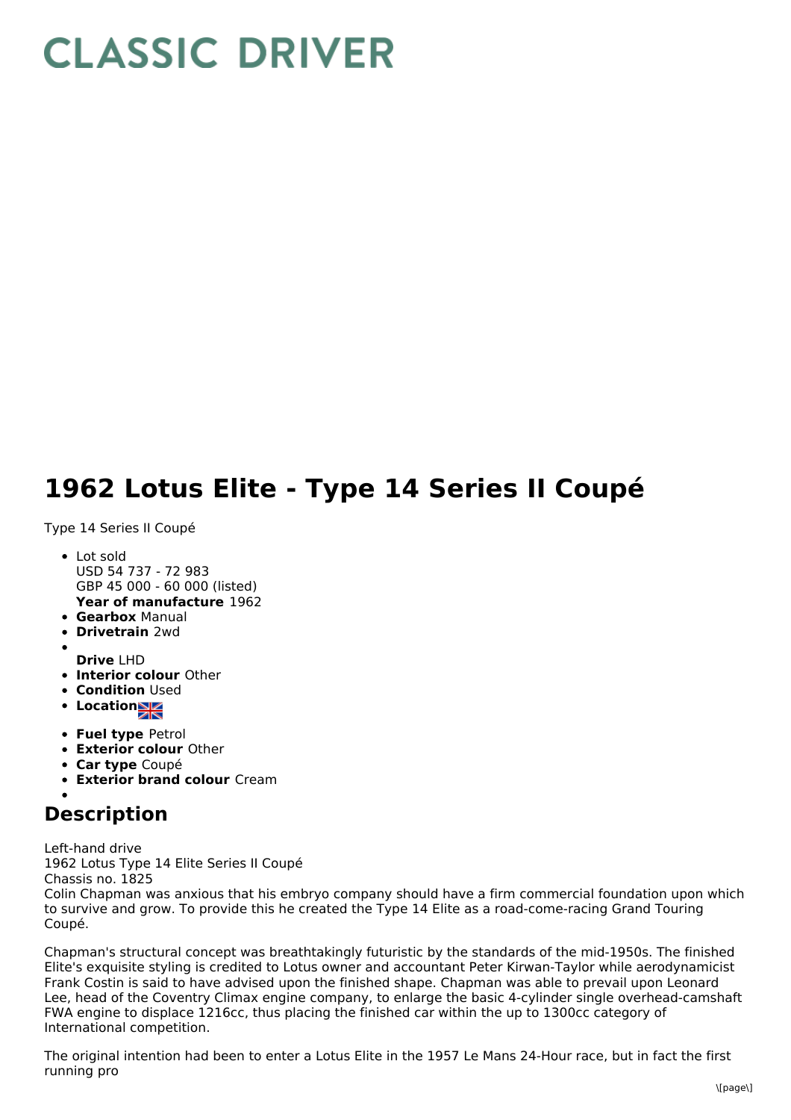## **CLASSIC DRIVER**

## **1962 Lotus Elite - Type 14 Series II Coupé**

Type 14 Series II Coupé

- **Year of manufacture** 1962 • Lot sold USD 54 737 - 72 983 GBP 45 000 - 60 000 (listed)
- **Gearbox** Manual
- **Drivetrain** 2wd
- 
- **Drive** LHD
- **Interior colour** Other
- **Condition Used**
- **Location**
- **Fuel type** Petrol
- **Exterior colour** Other
- **Car type** Coupé
- **Exterior brand colour** Cream

## **Description**

Left-hand drive 1962 Lotus Type 14 Elite Series II Coupé Chassis no. 1825

Colin Chapman was anxious that his embryo company should have a firm commercial foundation upon which to survive and grow. To provide this he created the Type 14 Elite as a road-come-racing Grand Touring Coupé.

Chapman's structural concept was breathtakingly futuristic by the standards of the mid-1950s. The finished Elite's exquisite styling is credited to Lotus owner and accountant Peter Kirwan-Taylor while aerodynamicist Frank Costin is said to have advised upon the finished shape. Chapman was able to prevail upon Leonard Lee, head of the Coventry Climax engine company, to enlarge the basic 4-cylinder single overhead-camshaft FWA engine to displace 1216cc, thus placing the finished car within the up to 1300cc category of International competition.

The original intention had been to enter a Lotus Elite in the 1957 Le Mans 24-Hour race, but in fact the first running pro